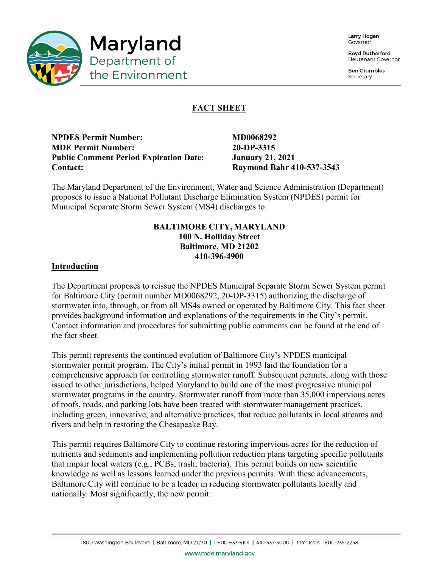

Larry Hogan Covernor

**Boyd Rutherford** Lieutenant Governor

**Ben Grumbles** Secretary

# **FACT SHEET**

**NPDES Permit Number:** MD0068292 **MDE Permit Number: 20-DP-3315 Public Comment Period Expiration Date: January 21, 2021 Contact: Raymond Bahr 410-537-3543**

The Maryland Department of the Environment, Water and Science Administration (Department) proposes to issue a National Pollutant Discharge Elimination System (NPDES) permit for Municipal Separate Storm Sewer System (MS4) discharges to:

## **BALTIMORE CITY, MARYLAND 100 N. Holliday Street Baltimore, MD 21202 410-396-4900**

## **Introduction**

The Department proposes to reissue the NPDES Municipal Separate Storm Sewer System permit for Baltimore City (permit number MD0068292, 20-DP-3315) authorizing the discharge of stormwater into, through, or from all MS4s owned or operated by Baltimore City. This fact sheet provides background information and explanations of the requirements in the City's permit. Contact information and procedures for submitting public comments can be found at the end of the fact sheet.

This permit represents the continued evolution of Baltimore City's NPDES municipal stormwater permit program. The City's initial permit in 1993 laid the foundation for a comprehensive approach for controlling stormwater runoff. Subsequent permits, along with those issued to other jurisdictions, helped Maryland to build one of the most progressive municipal stormwater programs in the country. Stormwater runoff from more than 35,000 impervious acres of roofs, roads, and parking lots have been treated with stormwater management practices, including green, innovative, and alternative practices, that reduce pollutants in local streams and rivers and help in restoring the Chesapeake Bay.

This permit requires Baltimore City to continue restoring impervious acres for the reduction of nutrients and sediments and implementing pollution reduction plans targeting specific pollutants that impair local waters (e.g., PCBs, trash, bacteria). This permit builds on new scientific knowledge as well as lessons learned under the previous permits. With these advancements, Baltimore City will continue to be a leader in reducing stormwater pollutants locally and nationally. Most significantly, the new permit: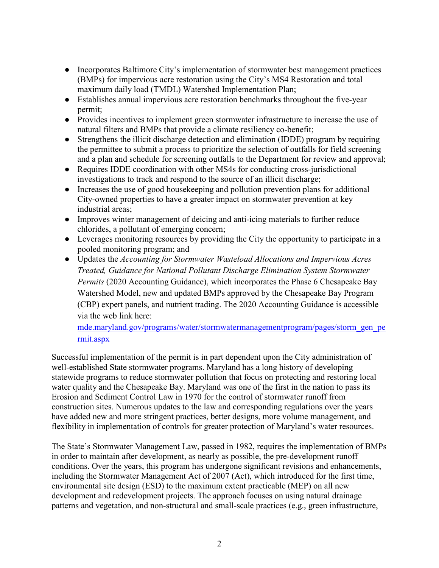- Incorporates Baltimore City's implementation of stormwater best management practices (BMPs) for impervious acre restoration using the City's MS4 Restoration and total maximum daily load (TMDL) Watershed Implementation Plan;
- Establishes annual impervious acre restoration benchmarks throughout the five-year permit;
- Provides incentives to implement green stormwater infrastructure to increase the use of natural filters and BMPs that provide a climate resiliency co-benefit;
- Strengthens the illicit discharge detection and elimination (IDDE) program by requiring the permittee to submit a process to prioritize the selection of outfalls for field screening and a plan and schedule for screening outfalls to the Department for review and approval;
- Requires IDDE coordination with other MS4s for conducting cross-jurisdictional investigations to track and respond to the source of an illicit discharge;
- Increases the use of good housekeeping and pollution prevention plans for additional City-owned properties to have a greater impact on stormwater prevention at key industrial areas;
- Improves winter management of deicing and anti-icing materials to further reduce chlorides, a pollutant of emerging concern;
- Leverages monitoring resources by providing the City the opportunity to participate in a pooled monitoring program; and
- Updates the *Accounting for Stormwater Wasteload Allocations and Impervious Acres Treated, Guidance for National Pollutant Discharge Elimination System Stormwater Permits* (2020 Accounting Guidance), which incorporates the Phase 6 Chesapeake Bay Watershed Model, new and updated BMPs approved by the Chesapeake Bay Program (CBP) expert panels, and nutrient trading. The 2020 Accounting Guidance is accessible via the web link here:

[mde.maryland.gov/programs/water/stormwatermanagementprogram/pages/storm\\_gen\\_pe](https://mde.maryland.gov/programs/water/stormwatermanagementprogram/pages/storm_gen_permit.aspx) [rmit.aspx](https://mde.maryland.gov/programs/water/stormwatermanagementprogram/pages/storm_gen_permit.aspx)

Successful implementation of the permit is in part dependent upon the City administration of well-established State stormwater programs. Maryland has a long history of developing statewide programs to reduce stormwater pollution that focus on protecting and restoring local water quality and the Chesapeake Bay. Maryland was one of the first in the nation to pass its Erosion and Sediment Control Law in 1970 for the control of stormwater runoff from construction sites. Numerous updates to the law and corresponding regulations over the years have added new and more stringent practices, better designs, more volume management, and flexibility in implementation of controls for greater protection of Maryland's water resources.

The State's Stormwater Management Law, passed in 1982, requires the implementation of BMPs in order to maintain after development, as nearly as possible, the pre-development runoff conditions. Over the years, this program has undergone significant revisions and enhancements, including the Stormwater Management Act of 2007 (Act), which introduced for the first time, environmental site design (ESD) to the maximum extent practicable (MEP) on all new development and redevelopment projects. The approach focuses on using natural drainage patterns and vegetation, and non-structural and small-scale practices (e.g., green infrastructure,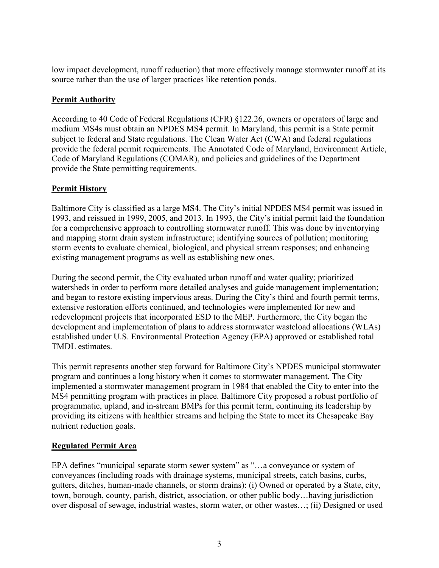low impact development, runoff reduction) that more effectively manage stormwater runoff at its source rather than the use of larger practices like retention ponds.

## **Permit Authority**

According to 40 Code of Federal Regulations (CFR) §122.26, owners or operators of large and medium MS4s must obtain an NPDES MS4 permit. In Maryland, this permit is a State permit subject to federal and State regulations. The Clean Water Act (CWA) and federal regulations provide the federal permit requirements. The Annotated Code of Maryland, Environment Article, Code of Maryland Regulations (COMAR), and policies and guidelines of the Department provide the State permitting requirements.

## **Permit History**

Baltimore City is classified as a large MS4. The City's initial NPDES MS4 permit was issued in 1993, and reissued in 1999, 2005, and 2013. In 1993, the City's initial permit laid the foundation for a comprehensive approach to controlling stormwater runoff. This was done by inventorying and mapping storm drain system infrastructure; identifying sources of pollution; monitoring storm events to evaluate chemical, biological, and physical stream responses; and enhancing existing management programs as well as establishing new ones.

During the second permit, the City evaluated urban runoff and water quality; prioritized watersheds in order to perform more detailed analyses and guide management implementation; and began to restore existing impervious areas. During the City's third and fourth permit terms, extensive restoration efforts continued, and technologies were implemented for new and redevelopment projects that incorporated ESD to the MEP. Furthermore, the City began the development and implementation of plans to address stormwater wasteload allocations (WLAs) established under U.S. Environmental Protection Agency (EPA) approved or established total TMDL estimates.

This permit represents another step forward for Baltimore City's NPDES municipal stormwater program and continues a long history when it comes to stormwater management. The City implemented a stormwater management program in 1984 that enabled the City to enter into the MS4 permitting program with practices in place. Baltimore City proposed a robust portfolio of programmatic, upland, and in-stream BMPs for this permit term, continuing its leadership by providing its citizens with healthier streams and helping the State to meet its Chesapeake Bay nutrient reduction goals.

## **Regulated Permit Area**

EPA defines "municipal separate storm sewer system" as "…a conveyance or system of conveyances (including roads with drainage systems, municipal streets, catch basins, curbs, gutters, ditches, human-made channels, or storm drains): (i) Owned or operated by a State, city, town, borough, county, parish, district, association, or other public body…having jurisdiction over disposal of sewage, industrial wastes, storm water, or other wastes…; (ii) Designed or used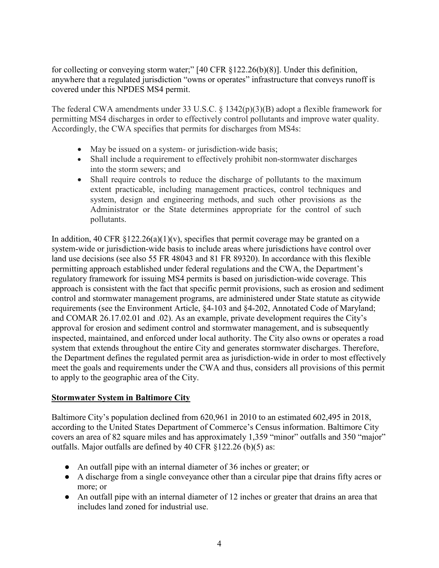for collecting or conveying storm water;" [40 CFR §122.26(b)(8)]. Under this definition, anywhere that a regulated jurisdiction "owns or operates" infrastructure that conveys runoff is covered under this NPDES MS4 permit.

The federal CWA amendments under 33 U.S.C. § 1342(p)(3)(B) adopt a flexible framework for permitting MS4 discharges in order to effectively control pollutants and improve water quality. Accordingly, the CWA specifies that permits for discharges from MS4s:

- May be issued on a system- or jurisdiction-wide basis;
- Shall include a requirement to effectively prohibit non-stormwater discharges into the storm sewers; and
- Shall require controls to reduce the discharge of pollutants to the maximum extent practicable, including management practices, control techniques and system, design and engineering methods, and such other provisions as the Administrator or the State determines appropriate for the control of such pollutants.

In addition, 40 CFR  $\S 122.26(a)(1)(v)$ , specifies that permit coverage may be granted on a system-wide or jurisdiction-wide basis to include areas where jurisdictions have control over land use decisions (see also 55 FR 48043 and 81 FR 89320). In accordance with this flexible permitting approach established under federal regulations and the CWA, the Department's regulatory framework for issuing MS4 permits is based on jurisdiction-wide coverage. This approach is consistent with the fact that specific permit provisions, such as erosion and sediment control and stormwater management programs, are administered under State statute as citywide requirements (see the Environment Article, §4-103 and §4-202, Annotated Code of Maryland; and COMAR 26.17.02.01 and .02). As an example, private development requires the City's approval for erosion and sediment control and stormwater management, and is subsequently inspected, maintained, and enforced under local authority. The City also owns or operates a road system that extends throughout the entire City and generates stormwater discharges. Therefore, the Department defines the regulated permit area as jurisdiction-wide in order to most effectively meet the goals and requirements under the CWA and thus, considers all provisions of this permit to apply to the geographic area of the City.

## **Stormwater System in Baltimore City**

Baltimore City's population declined from 620,961 in 2010 to an estimated 602,495 in 2018, according to the United States Department of Commerce's Census information. Baltimore City covers an area of 82 square miles and has approximately 1,359 "minor" outfalls and 350 "major" outfalls. Major outfalls are defined by 40 CFR §122.26 (b)(5) as:

- An outfall pipe with an internal diameter of 36 inches or greater; or
- A discharge from a single conveyance other than a circular pipe that drains fifty acres or more; or
- An outfall pipe with an internal diameter of 12 inches or greater that drains an area that includes land zoned for industrial use.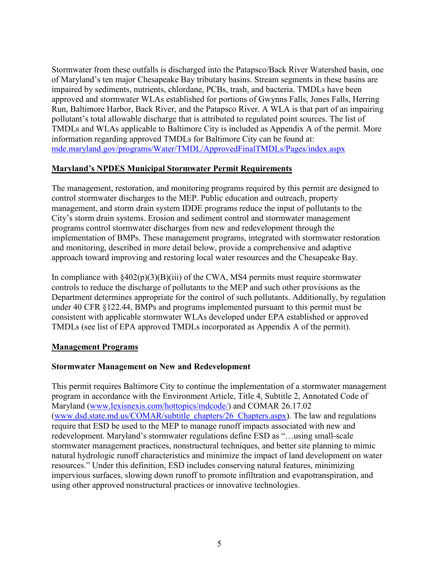Stormwater from these outfalls is discharged into the Patapsco/Back River Watershed basin, one of Maryland's ten major Chesapeake Bay tributary basins. Stream segments in these basins are impaired by sediments, nutrients, chlordane, PCBs, trash, and bacteria. TMDLs have been approved and stormwater WLAs established for portions of Gwynns Falls, Jones Falls, Herring Run, Baltimore Harbor, Back River, and the Patapsco River. A WLA is that part of an impairing pollutant's total allowable discharge that is attributed to regulated point sources. The list of TMDLs and WLAs applicable to Baltimore City is included as Appendix A of the permit. More information regarding approved TMDLs for Baltimore City can be found at: [mde.maryland.gov/programs/Water/TMDL/ApprovedFinalTMDLs/Pages/index.aspx](about:blank)

## **Maryland's NPDES Municipal Stormwater Permit Requirements**

The management, restoration, and monitoring programs required by this permit are designed to control stormwater discharges to the MEP. Public education and outreach, property management, and storm drain system IDDE programs reduce the input of pollutants to the City's storm drain systems. Erosion and sediment control and stormwater management programs control stormwater discharges from new and redevelopment through the implementation of BMPs. These management programs, integrated with stormwater restoration and monitoring, described in more detail below, provide a comprehensive and adaptive approach toward improving and restoring local water resources and the Chesapeake Bay.

In compliance with  $\frac{\{402(p)(3)(B)(iii)}{20}}$  of the CWA, MS4 permits must require stormwater controls to reduce the discharge of pollutants to the MEP and such other provisions as the Department determines appropriate for the control of such pollutants. Additionally, by regulation under 40 CFR §122.44, BMPs and programs implemented pursuant to this permit must be consistent with applicable stormwater WLAs developed under EPA established or approved TMDLs (see list of EPA approved TMDLs incorporated as Appendix A of the permit).

### **Management Programs**

## **Stormwater Management on New and Redevelopment**

This permit requires Baltimore City to continue the implementation of a stormwater management program in accordance with the Environment Article, Title 4, Subtitle 2, Annotated Code of Maryland [\(www.lexisnexis.com/hottopics/mdcode/\)](about:blank) and COMAR 26.17.02 [\(www.dsd.state.md.us/COMAR/subtitle\\_chapters/26\\_Chapters.aspx\)](about:blank). The law and regulations require that ESD be used to the MEP to manage runoff impacts associated with new and redevelopment. Maryland's stormwater regulations define ESD as "…using small-scale stormwater management practices, nonstructural techniques, and better site planning to mimic natural hydrologic runoff characteristics and minimize the impact of land development on water resources." Under this definition, ESD includes conserving natural features, minimizing impervious surfaces, slowing down runoff to promote infiltration and evapotranspiration, and using other approved nonstructural practices or innovative technologies.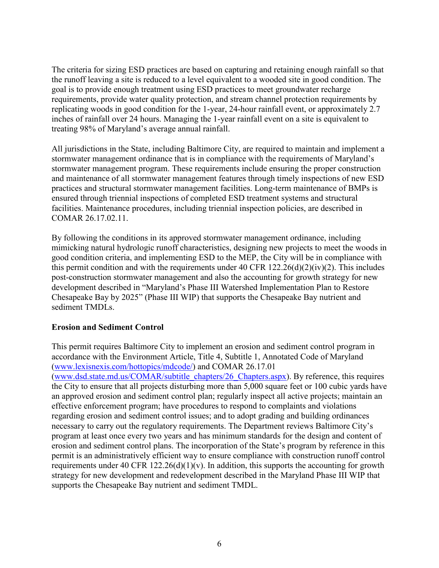The criteria for sizing ESD practices are based on capturing and retaining enough rainfall so that the runoff leaving a site is reduced to a level equivalent to a wooded site in good condition. The goal is to provide enough treatment using ESD practices to meet groundwater recharge requirements, provide water quality protection, and stream channel protection requirements by replicating woods in good condition for the 1-year, 24-hour rainfall event, or approximately 2.7 inches of rainfall over 24 hours. Managing the 1-year rainfall event on a site is equivalent to treating 98% of Maryland's average annual rainfall.

All jurisdictions in the State, including Baltimore City, are required to maintain and implement a stormwater management ordinance that is in compliance with the requirements of Maryland's stormwater management program. These requirements include ensuring the proper construction and maintenance of all stormwater management features through timely inspections of new ESD practices and structural stormwater management facilities. Long-term maintenance of BMPs is ensured through triennial inspections of completed ESD treatment systems and structural facilities. Maintenance procedures, including triennial inspection policies, are described in COMAR 26.17.02.11.

By following the conditions in its approved stormwater management ordinance, including mimicking natural hydrologic runoff characteristics, designing new projects to meet the woods in good condition criteria, and implementing ESD to the MEP, the City will be in compliance with this permit condition and with the requirements under 40 CFR  $122.26(d)(2)(iv)(2)$ . This includes post-construction stormwater management and also the accounting for growth strategy for new development described in "Maryland's Phase III Watershed Implementation Plan to Restore Chesapeake Bay by 2025" (Phase III WIP) that supports the Chesapeake Bay nutrient and sediment TMDLs.

## **Erosion and Sediment Control**

This permit requires Baltimore City to implement an erosion and sediment control program in accordance with the Environment Article, Title 4, Subtitle 1, Annotated Code of Maryland [\(www.lexisnexis.com/hottopics/mdcode/\)](about:blank) and COMAR 26.17.01 [\(www.dsd.state.md.us/COMAR/subtitle\\_chapters/26\\_Chapters.aspx\)](about:blank). By reference, this requires the City to ensure that all projects disturbing more than 5,000 square feet or 100 cubic yards have an approved erosion and sediment control plan; regularly inspect all active projects; maintain an effective enforcement program; have procedures to respond to complaints and violations regarding erosion and sediment control issues; and to adopt grading and building ordinances necessary to carry out the regulatory requirements. The Department reviews Baltimore City's program at least once every two years and has minimum standards for the design and content of erosion and sediment control plans. The incorporation of the State's program by reference in this permit is an administratively efficient way to ensure compliance with construction runoff control requirements under 40 CFR 122.26(d)(1)(v). In addition, this supports the accounting for growth strategy for new development and redevelopment described in the Maryland Phase III WIP that supports the Chesapeake Bay nutrient and sediment TMDL.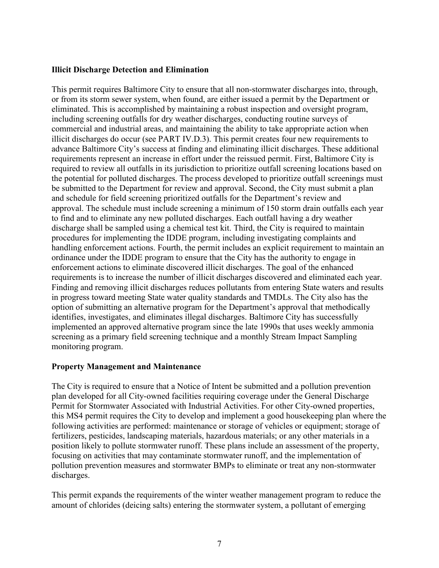### **Illicit Discharge Detection and Elimination**

This permit requires Baltimore City to ensure that all non-stormwater discharges into, through, or from its storm sewer system, when found, are either issued a permit by the Department or eliminated. This is accomplished by maintaining a robust inspection and oversight program, including screening outfalls for dry weather discharges, conducting routine surveys of commercial and industrial areas, and maintaining the ability to take appropriate action when illicit discharges do occur (see PART IV.D.3). This permit creates four new requirements to advance Baltimore City's success at finding and eliminating illicit discharges. These additional requirements represent an increase in effort under the reissued permit. First, Baltimore City is required to review all outfalls in its jurisdiction to prioritize outfall screening locations based on the potential for polluted discharges. The process developed to prioritize outfall screenings must be submitted to the Department for review and approval. Second, the City must submit a plan and schedule for field screening prioritized outfalls for the Department's review and approval. The schedule must include screening a minimum of 150 storm drain outfalls each year to find and to eliminate any new polluted discharges. Each outfall having a dry weather discharge shall be sampled using a chemical test kit. Third, the City is required to maintain procedures for implementing the IDDE program, including investigating complaints and handling enforcement actions. Fourth, the permit includes an explicit requirement to maintain an ordinance under the IDDE program to ensure that the City has the authority to engage in enforcement actions to eliminate discovered illicit discharges. The goal of the enhanced requirements is to increase the number of illicit discharges discovered and eliminated each year. Finding and removing illicit discharges reduces pollutants from entering State waters and results in progress toward meeting State water quality standards and TMDLs. The City also has the option of submitting an alternative program for the Department's approval that methodically identifies, investigates, and eliminates illegal discharges. Baltimore City has successfully implemented an approved alternative program since the late 1990s that uses weekly ammonia screening as a primary field screening technique and a monthly Stream Impact Sampling monitoring program.

### **Property Management and Maintenance**

The City is required to ensure that a Notice of Intent be submitted and a pollution prevention plan developed for all City-owned facilities requiring coverage under the General Discharge Permit for Stormwater Associated with Industrial Activities. For other City-owned properties, this MS4 permit requires the City to develop and implement a good housekeeping plan where the following activities are performed: maintenance or storage of vehicles or equipment; storage of fertilizers, pesticides, landscaping materials, hazardous materials; or any other materials in a position likely to pollute stormwater runoff. These plans include an assessment of the property, focusing on activities that may contaminate stormwater runoff, and the implementation of pollution prevention measures and stormwater BMPs to eliminate or treat any non-stormwater discharges.

This permit expands the requirements of the winter weather management program to reduce the amount of chlorides (deicing salts) entering the stormwater system, a pollutant of emerging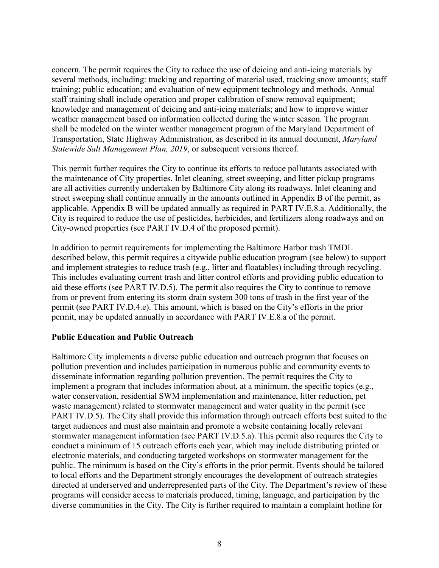concern. The permit requires the City to reduce the use of deicing and anti-icing materials by several methods, including: tracking and reporting of material used, tracking snow amounts; staff training; public education; and evaluation of new equipment technology and methods. Annual staff training shall include operation and proper calibration of snow removal equipment; knowledge and management of deicing and anti-icing materials; and how to improve winter weather management based on information collected during the winter season. The program shall be modeled on the winter weather management program of the Maryland Department of Transportation, State Highway Administration, as described in its annual document, *Maryland Statewide Salt Management Plan, 2019*, or subsequent versions thereof.

This permit further requires the City to continue its efforts to reduce pollutants associated with the maintenance of City properties. Inlet cleaning, street sweeping, and litter pickup programs are all activities currently undertaken by Baltimore City along its roadways. Inlet cleaning and street sweeping shall continue annually in the amounts outlined in Appendix B of the permit, as applicable. Appendix B will be updated annually as required in PART IV.E.8.a. Additionally, the City is required to reduce the use of pesticides, herbicides, and fertilizers along roadways and on City-owned properties (see PART IV.D.4 of the proposed permit).

In addition to permit requirements for implementing the Baltimore Harbor trash TMDL described below, this permit requires a citywide public education program (see below) to support and implement strategies to reduce trash (e.g., litter and floatables) including through recycling. This includes evaluating current trash and litter control efforts and providing public education to aid these efforts (see PART IV.D.5). The permit also requires the City to continue to remove from or prevent from entering its storm drain system 300 tons of trash in the first year of the permit (see PART IV.D.4.e). This amount, which is based on the City's efforts in the prior permit, may be updated annually in accordance with PART IV.E.8.a of the permit.

## **Public Education and Public Outreach**

Baltimore City implements a diverse public education and outreach program that focuses on pollution prevention and includes participation in numerous public and community events to disseminate information regarding pollution prevention. The permit requires the City to implement a program that includes information about, at a minimum, the specific topics (e.g., water conservation, residential SWM implementation and maintenance, litter reduction, pet waste management) related to stormwater management and water quality in the permit (see PART IV.D.5). The City shall provide this information through outreach efforts best suited to the target audiences and must also maintain and promote a website containing locally relevant stormwater management information (see PART IV.D.5.a). This permit also requires the City to conduct a minimum of 15 outreach efforts each year, which may include distributing printed or electronic materials, and conducting targeted workshops on stormwater management for the public. The minimum is based on the City's efforts in the prior permit. Events should be tailored to local efforts and the Department strongly encourages the development of outreach strategies directed at underserved and underrepresented parts of the City. The Department's review of these programs will consider access to materials produced, timing, language, and participation by the diverse communities in the City. The City is further required to maintain a complaint hotline for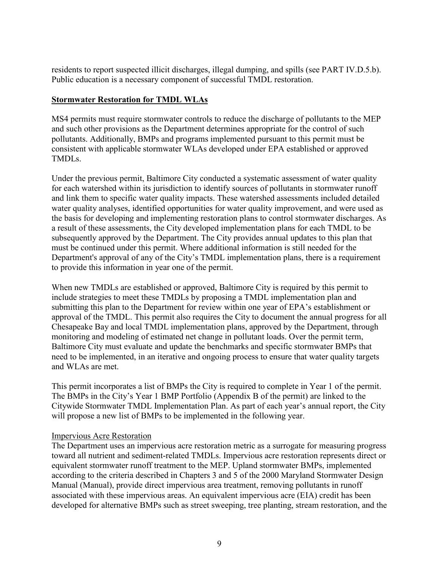residents to report suspected illicit discharges, illegal dumping, and spills (see PART IV.D.5.b). Public education is a necessary component of successful TMDL restoration.

## **Stormwater Restoration for TMDL WLAs**

MS4 permits must require stormwater controls to reduce the discharge of pollutants to the MEP and such other provisions as the Department determines appropriate for the control of such pollutants. Additionally, BMPs and programs implemented pursuant to this permit must be consistent with applicable stormwater WLAs developed under EPA established or approved TMDLs.

Under the previous permit, Baltimore City conducted a systematic assessment of water quality for each watershed within its jurisdiction to identify sources of pollutants in stormwater runoff and link them to specific water quality impacts. These watershed assessments included detailed water quality analyses, identified opportunities for water quality improvement, and were used as the basis for developing and implementing restoration plans to control stormwater discharges. As a result of these assessments, the City developed implementation plans for each TMDL to be subsequently approved by the Department. The City provides annual updates to this plan that must be continued under this permit. Where additional information is still needed for the Department's approval of any of the City's TMDL implementation plans, there is a requirement to provide this information in year one of the permit.

When new TMDLs are established or approved, Baltimore City is required by this permit to include strategies to meet these TMDLs by proposing a TMDL implementation plan and submitting this plan to the Department for review within one year of EPA's establishment or approval of the TMDL. This permit also requires the City to document the annual progress for all Chesapeake Bay and local TMDL implementation plans, approved by the Department, through monitoring and modeling of estimated net change in pollutant loads. Over the permit term, Baltimore City must evaluate and update the benchmarks and specific stormwater BMPs that need to be implemented, in an iterative and ongoing process to ensure that water quality targets and WLAs are met.

This permit incorporates a list of BMPs the City is required to complete in Year 1 of the permit. The BMPs in the City's Year 1 BMP Portfolio (Appendix B of the permit) are linked to the Citywide Stormwater TMDL Implementation Plan. As part of each year's annual report, the City will propose a new list of BMPs to be implemented in the following year.

### Impervious Acre Restoration

The Department uses an impervious acre restoration metric as a surrogate for measuring progress toward all nutrient and sediment-related TMDLs. Impervious acre restoration represents direct or equivalent stormwater runoff treatment to the MEP. Upland stormwater BMPs, implemented according to the criteria described in Chapters 3 and 5 of the 2000 Maryland Stormwater Design Manual (Manual), provide direct impervious area treatment, removing pollutants in runoff associated with these impervious areas. An equivalent impervious acre (EIA) credit has been developed for alternative BMPs such as street sweeping, tree planting, stream restoration, and the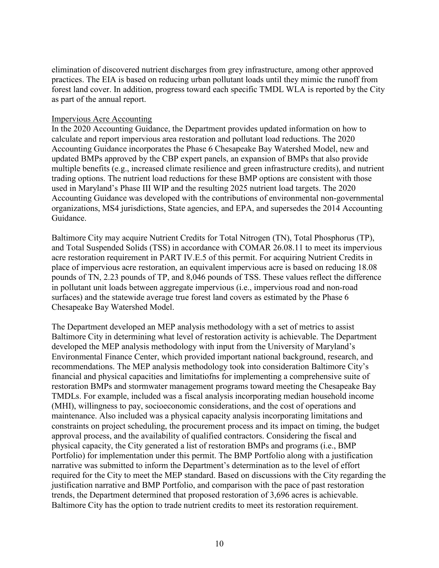elimination of discovered nutrient discharges from grey infrastructure, among other approved practices. The EIA is based on reducing urban pollutant loads until they mimic the runoff from forest land cover. In addition, progress toward each specific TMDL WLA is reported by the City as part of the annual report.

#### Impervious Acre Accounting

In the 2020 Accounting Guidance, the Department provides updated information on how to calculate and report impervious area restoration and pollutant load reductions. The 2020 Accounting Guidance incorporates the Phase 6 Chesapeake Bay Watershed Model, new and updated BMPs approved by the CBP expert panels, an expansion of BMPs that also provide multiple benefits (e.g., increased climate resilience and green infrastructure credits), and nutrient trading options. The nutrient load reductions for these BMP options are consistent with those used in Maryland's Phase III WIP and the resulting 2025 nutrient load targets. The 2020 Accounting Guidance was developed with the contributions of environmental non-governmental organizations, MS4 jurisdictions, State agencies, and EPA, and supersedes the 2014 Accounting Guidance.

Baltimore City may acquire Nutrient Credits for Total Nitrogen (TN), Total Phosphorus (TP), and Total Suspended Solids (TSS) in accordance with COMAR 26.08.11 to meet its impervious acre restoration requirement in PART IV.E.5 of this permit. For acquiring Nutrient Credits in place of impervious acre restoration, an equivalent impervious acre is based on reducing 18.08 pounds of TN, 2.23 pounds of TP, and 8,046 pounds of TSS. These values reflect the difference in pollutant unit loads between aggregate impervious (i.e., impervious road and non-road surfaces) and the statewide average true forest land covers as estimated by the Phase 6 Chesapeake Bay Watershed Model.

The Department developed an MEP analysis methodology with a set of metrics to assist Baltimore City in determining what level of restoration activity is achievable. The Department developed the MEP analysis methodology with input from the University of Maryland's Environmental Finance Center, which provided important national background, research, and recommendations. The MEP analysis methodology took into consideration Baltimore City's financial and physical capacities and limitatiofns for implementing a comprehensive suite of restoration BMPs and stormwater management programs toward meeting the Chesapeake Bay TMDLs. For example, included was a fiscal analysis incorporating median household income (MHI), willingness to pay, socioeconomic considerations, and the cost of operations and maintenance. Also included was a physical capacity analysis incorporating limitations and constraints on project scheduling, the procurement process and its impact on timing, the budget approval process, and the availability of qualified contractors. Considering the fiscal and physical capacity, the City generated a list of restoration BMPs and programs (i.e., BMP Portfolio) for implementation under this permit. The BMP Portfolio along with a justification narrative was submitted to inform the Department's determination as to the level of effort required for the City to meet the MEP standard. Based on discussions with the City regarding the justification narrative and BMP Portfolio, and comparison with the pace of past restoration trends, the Department determined that proposed restoration of 3,696 acres is achievable. Baltimore City has the option to trade nutrient credits to meet its restoration requirement.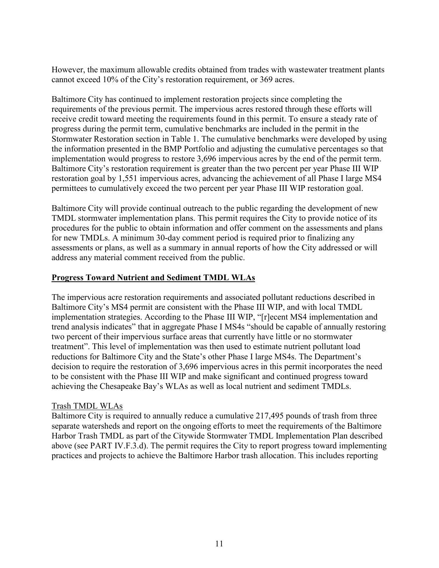However, the maximum allowable credits obtained from trades with wastewater treatment plants cannot exceed 10% of the City's restoration requirement, or 369 acres.

Baltimore City has continued to implement restoration projects since completing the requirements of the previous permit. The impervious acres restored through these efforts will receive credit toward meeting the requirements found in this permit. To ensure a steady rate of progress during the permit term, cumulative benchmarks are included in the permit in the Stormwater Restoration section in Table 1. The cumulative benchmarks were developed by using the information presented in the BMP Portfolio and adjusting the cumulative percentages so that implementation would progress to restore 3,696 impervious acres by the end of the permit term. Baltimore City's restoration requirement is greater than the two percent per year Phase III WIP restoration goal by 1,551 impervious acres, advancing the achievement of all Phase I large MS4 permittees to cumulatively exceed the two percent per year Phase III WIP restoration goal.

Baltimore City will provide continual outreach to the public regarding the development of new TMDL stormwater implementation plans. This permit requires the City to provide notice of its procedures for the public to obtain information and offer comment on the assessments and plans for new TMDLs. A minimum 30-day comment period is required prior to finalizing any assessments or plans, as well as a summary in annual reports of how the City addressed or will address any material comment received from the public.

## **Progress Toward Nutrient and Sediment TMDL WLAs**

The impervious acre restoration requirements and associated pollutant reductions described in Baltimore City's MS4 permit are consistent with the Phase III WIP, and with local TMDL implementation strategies. According to the Phase III WIP, "[r]ecent MS4 implementation and trend analysis indicates" that in aggregate Phase I MS4s "should be capable of annually restoring two percent of their impervious surface areas that currently have little or no stormwater treatment". This level of implementation was then used to estimate nutrient pollutant load reductions for Baltimore City and the State's other Phase I large MS4s. The Department's decision to require the restoration of 3,696 impervious acres in this permit incorporates the need to be consistent with the Phase III WIP and make significant and continued progress toward achieving the Chesapeake Bay's WLAs as well as local nutrient and sediment TMDLs.

## Trash TMDL WLAs

Baltimore City is required to annually reduce a cumulative 217,495 pounds of trash from three separate watersheds and report on the ongoing efforts to meet the requirements of the Baltimore Harbor Trash TMDL as part of the Citywide Stormwater TMDL Implementation Plan described above (see PART IV.F.3.d). The permit requires the City to report progress toward implementing practices and projects to achieve the Baltimore Harbor trash allocation. This includes reporting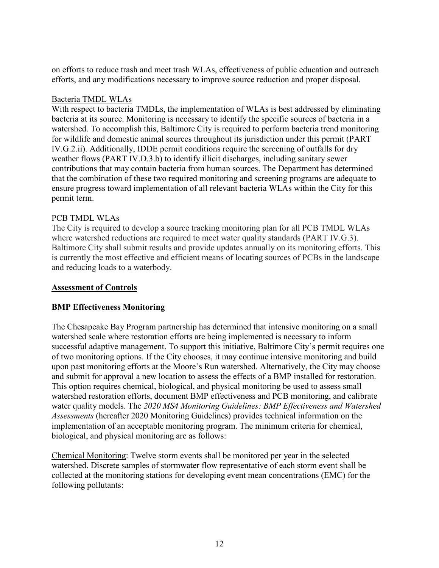on efforts to reduce trash and meet trash WLAs, effectiveness of public education and outreach efforts, and any modifications necessary to improve source reduction and proper disposal.

#### Bacteria TMDL WLAs

With respect to bacteria TMDLs, the implementation of WLAs is best addressed by eliminating bacteria at its source. Monitoring is necessary to identify the specific sources of bacteria in a watershed. To accomplish this, Baltimore City is required to perform bacteria trend monitoring for wildlife and domestic animal sources throughout its jurisdiction under this permit (PART IV.G.2.ii). Additionally, IDDE permit conditions require the screening of outfalls for dry weather flows (PART IV.D.3.b) to identify illicit discharges, including sanitary sewer contributions that may contain bacteria from human sources. The Department has determined that the combination of these two required monitoring and screening programs are adequate to ensure progress toward implementation of all relevant bacteria WLAs within the City for this permit term.

### PCB TMDL WLAs

The City is required to develop a source tracking monitoring plan for all PCB TMDL WLAs where watershed reductions are required to meet water quality standards (PART IV.G.3). Baltimore City shall submit results and provide updates annually on its monitoring efforts. This is currently the most effective and efficient means of locating sources of PCBs in the landscape and reducing loads to a waterbody.

### **Assessment of Controls**

### **BMP Effectiveness Monitoring**

The Chesapeake Bay Program partnership has determined that intensive monitoring on a small watershed scale where restoration efforts are being implemented is necessary to inform successful adaptive management. To support this initiative, Baltimore City's permit requires one of two monitoring options. If the City chooses, it may continue intensive monitoring and build upon past monitoring efforts at the Moore's Run watershed. Alternatively, the City may choose and submit for approval a new location to assess the effects of a BMP installed for restoration. This option requires chemical, biological, and physical monitoring be used to assess small watershed restoration efforts, document BMP effectiveness and PCB monitoring, and calibrate water quality models. The *2020 MS4 Monitoring Guidelines: BMP Effectiveness and Watershed Assessments* (hereafter 2020 Monitoring Guidelines) provides technical information on the implementation of an acceptable monitoring program. The minimum criteria for chemical, biological, and physical monitoring are as follows:

Chemical Monitoring: Twelve storm events shall be monitored per year in the selected watershed. Discrete samples of stormwater flow representative of each storm event shall be collected at the monitoring stations for developing event mean concentrations (EMC) for the following pollutants: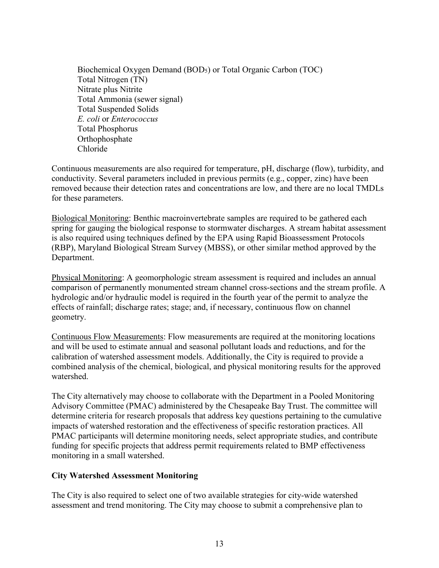Biochemical Oxygen Demand (BOD5) or Total Organic Carbon (TOC) Total Nitrogen (TN) Nitrate plus Nitrite Total Ammonia (sewer signal) Total Suspended Solids *E. coli* or *Enterococcus* Total Phosphorus Orthophosphate Chloride

Continuous measurements are also required for temperature, pH, discharge (flow), turbidity, and conductivity. Several parameters included in previous permits (e.g., copper, zinc) have been removed because their detection rates and concentrations are low, and there are no local TMDLs for these parameters.

Biological Monitoring: Benthic macroinvertebrate samples are required to be gathered each spring for gauging the biological response to stormwater discharges. A stream habitat assessment is also required using techniques defined by the EPA using Rapid Bioassessment Protocols (RBP), Maryland Biological Stream Survey (MBSS), or other similar method approved by the Department.

Physical Monitoring: A geomorphologic stream assessment is required and includes an annual comparison of permanently monumented stream channel cross-sections and the stream profile. A hydrologic and/or hydraulic model is required in the fourth year of the permit to analyze the effects of rainfall; discharge rates; stage; and, if necessary, continuous flow on channel geometry.

Continuous Flow Measurements: Flow measurements are required at the monitoring locations and will be used to estimate annual and seasonal pollutant loads and reductions, and for the calibration of watershed assessment models. Additionally, the City is required to provide a combined analysis of the chemical, biological, and physical monitoring results for the approved watershed.

The City alternatively may choose to collaborate with the Department in a Pooled Monitoring Advisory Committee (PMAC) administered by the Chesapeake Bay Trust. The committee will determine criteria for research proposals that address key questions pertaining to the cumulative impacts of watershed restoration and the effectiveness of specific restoration practices. All PMAC participants will determine monitoring needs, select appropriate studies, and contribute funding for specific projects that address permit requirements related to BMP effectiveness monitoring in a small watershed.

### **City Watershed Assessment Monitoring**

The City is also required to select one of two available strategies for city-wide watershed assessment and trend monitoring. The City may choose to submit a comprehensive plan to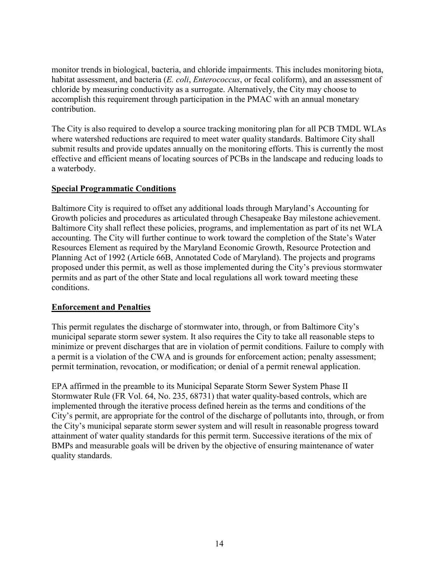monitor trends in biological, bacteria, and chloride impairments. This includes monitoring biota, habitat assessment, and bacteria (*E. coli*, *Enterococcus*, or fecal coliform), and an assessment of chloride by measuring conductivity as a surrogate. Alternatively, the City may choose to accomplish this requirement through participation in the PMAC with an annual monetary contribution.

The City is also required to develop a source tracking monitoring plan for all PCB TMDL WLAs where watershed reductions are required to meet water quality standards. Baltimore City shall submit results and provide updates annually on the monitoring efforts. This is currently the most effective and efficient means of locating sources of PCBs in the landscape and reducing loads to a waterbody.

### **Special Programmatic Conditions**

Baltimore City is required to offset any additional loads through Maryland's Accounting for Growth policies and procedures as articulated through Chesapeake Bay milestone achievement. Baltimore City shall reflect these policies, programs, and implementation as part of its net WLA accounting. The City will further continue to work toward the completion of the State's Water Resources Element as required by the Maryland Economic Growth, Resource Protection and Planning Act of 1992 (Article 66B, Annotated Code of Maryland). The projects and programs proposed under this permit, as well as those implemented during the City's previous stormwater permits and as part of the other State and local regulations all work toward meeting these conditions.

### **Enforcement and Penalties**

This permit regulates the discharge of stormwater into, through, or from Baltimore City's municipal separate storm sewer system. It also requires the City to take all reasonable steps to minimize or prevent discharges that are in violation of permit conditions. Failure to comply with a permit is a violation of the CWA and is grounds for enforcement action; penalty assessment; permit termination, revocation, or modification; or denial of a permit renewal application.

EPA affirmed in the preamble to its Municipal Separate Storm Sewer System Phase II Stormwater Rule (FR Vol. 64, No. 235, 68731) that water quality-based controls, which are implemented through the iterative process defined herein as the terms and conditions of the City's permit, are appropriate for the control of the discharge of pollutants into, through, or from the City's municipal separate storm sewer system and will result in reasonable progress toward attainment of water quality standards for this permit term. Successive iterations of the mix of BMPs and measurable goals will be driven by the objective of ensuring maintenance of water quality standards.